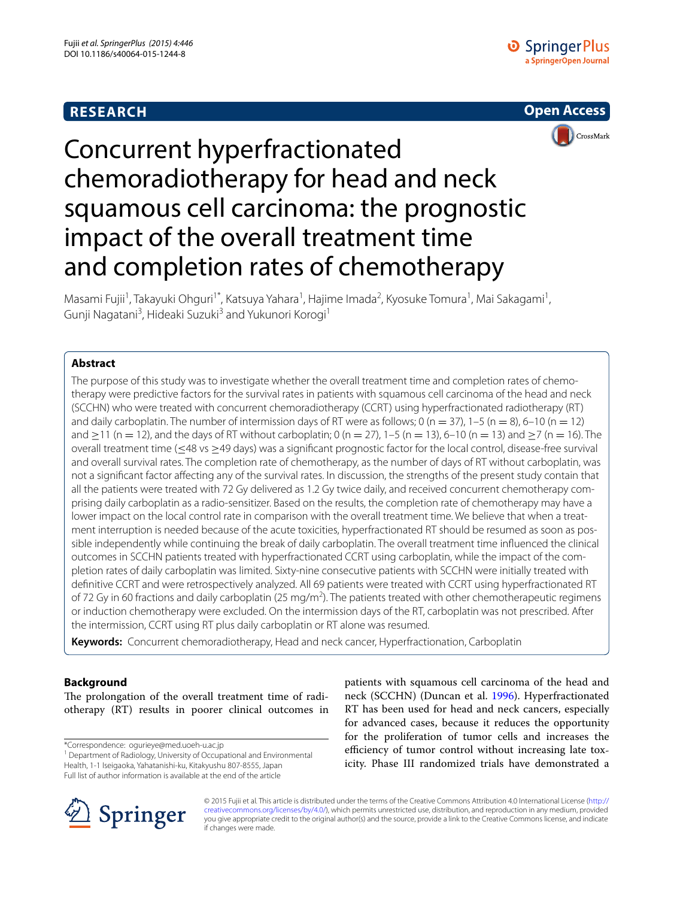## **RESEARCH**





# Concurrent hyperfractionated chemoradiotherapy for head and neck squamous cell carcinoma: the prognostic impact of the overall treatment time and completion rates of chemotherapy

Masami Fujii<sup>1</sup>, Takayuki Ohguri<sup>1\*</sup>, Katsuya Yahara<sup>1</sup>, Hajime Imada<sup>2</sup>, Kyosuke Tomura<sup>1</sup>, Mai Sakagami<sup>1</sup>, Gunji Nagatani<sup>3</sup>, Hideaki Suzuki<sup>3</sup> and Yukunori Korogi<sup>1</sup>

## **Abstract**

The purpose of this study was to investigate whether the overall treatment time and completion rates of chemotherapy were predictive factors for the survival rates in patients with squamous cell carcinoma of the head and neck (SCCHN) who were treated with concurrent chemoradiotherapy (CCRT) using hyperfractionated radiotherapy (RT) and daily carboplatin. The number of intermission days of RT were as follows; 0 (n = 37), 1–5 (n = 8), 6–10 (n = 12) and  $\geq$  11 (n = 12), and the days of RT without carboplatin; 0 (n = 27), 1–5 (n = 13), 6–10 (n = 13) and  $\geq$  7 (n = 16). The overall treatment time (≤48 vs ≥49 days) was a significant prognostic factor for the local control, disease-free survival and overall survival rates. The completion rate of chemotherapy, as the number of days of RT without carboplatin, was not a significant factor affecting any of the survival rates. In discussion, the strengths of the present study contain that all the patients were treated with 72 Gy delivered as 1.2 Gy twice daily, and received concurrent chemotherapy comprising daily carboplatin as a radio-sensitizer. Based on the results, the completion rate of chemotherapy may have a lower impact on the local control rate in comparison with the overall treatment time. We believe that when a treatment interruption is needed because of the acute toxicities, hyperfractionated RT should be resumed as soon as possible independently while continuing the break of daily carboplatin. The overall treatment time influenced the clinical outcomes in SCCHN patients treated with hyperfractionated CCRT using carboplatin, while the impact of the completion rates of daily carboplatin was limited. Sixty-nine consecutive patients with SCCHN were initially treated with definitive CCRT and were retrospectively analyzed. All 69 patients were treated with CCRT using hyperfractionated RT of 72 Gy in 60 fractions and daily carboplatin (25 mg/m<sup>2</sup>). The patients treated with other chemotherapeutic regimens or induction chemotherapy were excluded. On the intermission days of the RT, carboplatin was not prescribed. After the intermission, CCRT using RT plus daily carboplatin or RT alone was resumed.

**Keywords:** Concurrent chemoradiotherapy, Head and neck cancer, Hyperfractionation, Carboplatin

## **Background**

The prolongation of the overall treatment time of radiotherapy (RT) results in poorer clinical outcomes in

\*Correspondence: ogurieye@med.uoeh-u.ac.jp 1

<sup>1</sup> Department of Radiology, University of Occupational and Environmental Health, 1-1 Iseigaoka, Yahatanishi-ku, Kitakyushu 807-8555, Japan Full list of author information is available at the end of the article

patients with squamous cell carcinoma of the head and neck (SCCHN) (Duncan et al. [1996](#page-5-0)). Hyperfractionated RT has been used for head and neck cancers, especially for advanced cases, because it reduces the opportunity for the proliferation of tumor cells and increases the efficiency of tumor control without increasing late toxicity. Phase III randomized trials have demonstrated a



© 2015 Fujii et al. This article is distributed under the terms of the Creative Commons Attribution 4.0 International License [\(http://](http://creativecommons.org/licenses/by/4.0/) [creativecommons.org/licenses/by/4.0/](http://creativecommons.org/licenses/by/4.0/)), which permits unrestricted use, distribution, and reproduction in any medium, provided you give appropriate credit to the original author(s) and the source, provide a link to the Creative Commons license, and indicate if changes were made.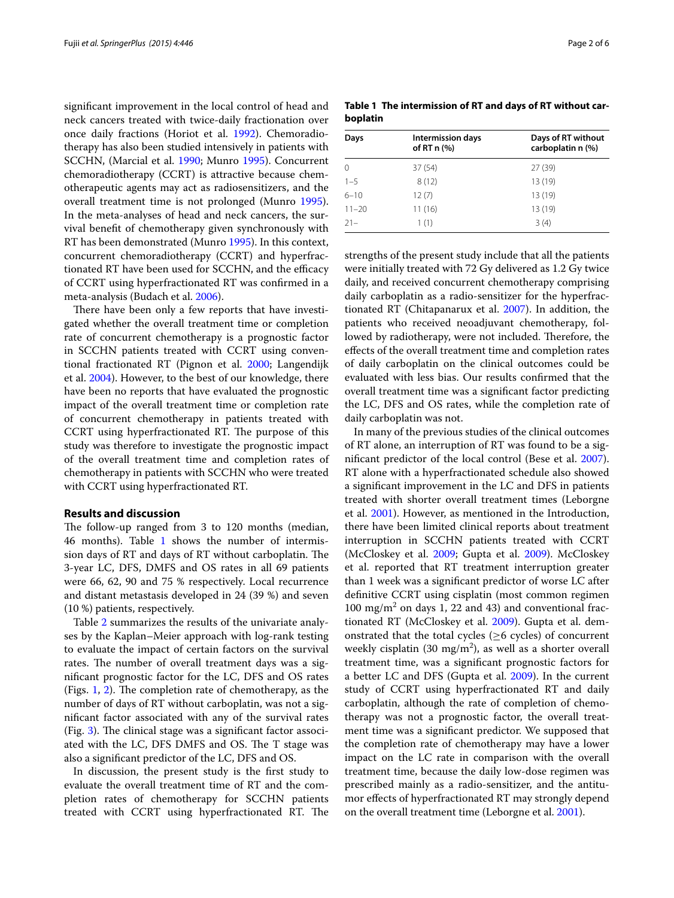significant improvement in the local control of head and neck cancers treated with twice-daily fractionation over once daily fractions (Horiot et al. [1992\)](#page-5-1). Chemoradiotherapy has also been studied intensively in patients with SCCHN, (Marcial et al. [1990](#page-5-2); Munro [1995](#page-5-3)). Concurrent chemoradiotherapy (CCRT) is attractive because chemotherapeutic agents may act as radiosensitizers, and the overall treatment time is not prolonged (Munro [1995](#page-5-3)). In the meta-analyses of head and neck cancers, the survival benefit of chemotherapy given synchronously with RT has been demonstrated (Munro [1995\)](#page-5-3). In this context, concurrent chemoradiotherapy (CCRT) and hyperfractionated RT have been used for SCCHN, and the efficacy of CCRT using hyperfractionated RT was confirmed in a meta-analysis (Budach et al. [2006](#page-5-4)).

There have been only a few reports that have investigated whether the overall treatment time or completion rate of concurrent chemotherapy is a prognostic factor in SCCHN patients treated with CCRT using conventional fractionated RT (Pignon et al. [2000](#page-5-5); Langendijk et al. [2004](#page-5-6)). However, to the best of our knowledge, there have been no reports that have evaluated the prognostic impact of the overall treatment time or completion rate of concurrent chemotherapy in patients treated with CCRT using hyperfractionated RT. The purpose of this study was therefore to investigate the prognostic impact of the overall treatment time and completion rates of chemotherapy in patients with SCCHN who were treated with CCRT using hyperfractionated RT.

### **Results and discussion**

The follow-up ranged from 3 to 120 months (median, 46 months). Table [1](#page-1-0) shows the number of intermission days of RT and days of RT without carboplatin. The 3-year LC, DFS, DMFS and OS rates in all 69 patients were 66, 62, 90 and 75 % respectively. Local recurrence and distant metastasis developed in 24 (39 %) and seven (10 %) patients, respectively.

Table [2](#page-2-0) summarizes the results of the univariate analyses by the Kaplan–Meier approach with log-rank testing to evaluate the impact of certain factors on the survival rates. The number of overall treatment days was a significant prognostic factor for the LC, DFS and OS rates (Figs. [1](#page-2-1), [2\)](#page-2-2). The completion rate of chemotherapy, as the number of days of RT without carboplatin, was not a significant factor associated with any of the survival rates (Fig. [3](#page-3-0)). The clinical stage was a significant factor associated with the LC, DFS DMFS and OS. The T stage was also a significant predictor of the LC, DFS and OS.

In discussion, the present study is the first study to evaluate the overall treatment time of RT and the completion rates of chemotherapy for SCCHN patients treated with CCRT using hyperfractionated RT. The

<span id="page-1-0"></span>**Table 1 The intermission of RT and days of RT without carboplatin**

| Days      | <b>Intermission days</b><br>of RT $n$ $%$ ) | Days of RT without<br>carboplatin n (%) |  |  |
|-----------|---------------------------------------------|-----------------------------------------|--|--|
| $\Omega$  | 37(54)                                      | 27(39)                                  |  |  |
| $1 - 5$   | 8(12)                                       | 13(19)                                  |  |  |
| $6 - 10$  | 12(7)                                       | 13(19)                                  |  |  |
| $11 - 20$ | 11(16)                                      | 13 (19)                                 |  |  |
| $21 -$    | 1(1)                                        | 3(4)                                    |  |  |

strengths of the present study include that all the patients were initially treated with 72 Gy delivered as 1.2 Gy twice daily, and received concurrent chemotherapy comprising daily carboplatin as a radio-sensitizer for the hyperfractionated RT (Chitapanarux et al. [2007\)](#page-5-7). In addition, the patients who received neoadjuvant chemotherapy, followed by radiotherapy, were not included. Therefore, the effects of the overall treatment time and completion rates of daily carboplatin on the clinical outcomes could be evaluated with less bias. Our results confirmed that the overall treatment time was a significant factor predicting the LC, DFS and OS rates, while the completion rate of daily carboplatin was not.

In many of the previous studies of the clinical outcomes of RT alone, an interruption of RT was found to be a significant predictor of the local control (Bese et al. [2007](#page-5-8)). RT alone with a hyperfractionated schedule also showed a significant improvement in the LC and DFS in patients treated with shorter overall treatment times (Leborgne et al. [2001\)](#page-5-9). However, as mentioned in the Introduction, there have been limited clinical reports about treatment interruption in SCCHN patients treated with CCRT (McCloskey et al. [2009;](#page-5-10) Gupta et al. [2009](#page-5-11)). McCloskey et al. reported that RT treatment interruption greater than 1 week was a significant predictor of worse LC after definitive CCRT using cisplatin (most common regimen  $100 \text{ mg/m}^2$  on days 1, 22 and 43) and conventional fractionated RT (McCloskey et al. [2009\)](#page-5-10). Gupta et al. demonstrated that the total cycles ( $\geq$ 6 cycles) of concurrent weekly cisplatin (30 mg/m<sup>2</sup>), as well as a shorter overall treatment time, was a significant prognostic factors for a better LC and DFS (Gupta et al. [2009\)](#page-5-11). In the current study of CCRT using hyperfractionated RT and daily carboplatin, although the rate of completion of chemotherapy was not a prognostic factor, the overall treatment time was a significant predictor. We supposed that the completion rate of chemotherapy may have a lower impact on the LC rate in comparison with the overall treatment time, because the daily low-dose regimen was prescribed mainly as a radio-sensitizer, and the antitumor effects of hyperfractionated RT may strongly depend on the overall treatment time (Leborgne et al. [2001\)](#page-5-9).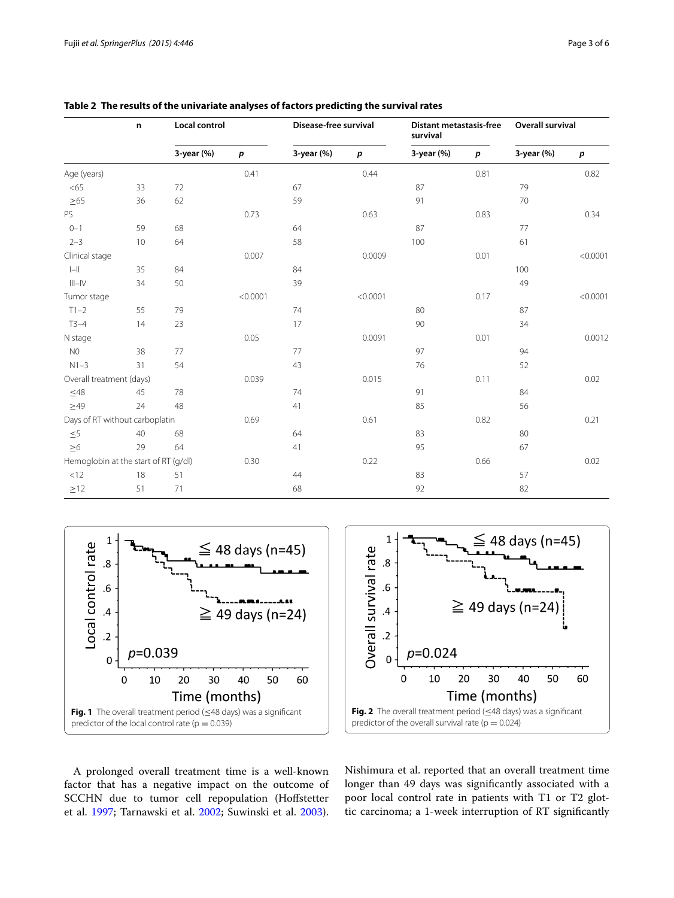|                                      | $\mathsf{n}$ |                  | Local control    |                  | Disease-free survival | <b>Distant metastasis-free</b><br>survival |      | Overall survival |          |
|--------------------------------------|--------------|------------------|------------------|------------------|-----------------------|--------------------------------------------|------|------------------|----------|
|                                      |              | $3$ -year $(\%)$ | $\boldsymbol{p}$ | $3$ -year $(\%)$ | $\boldsymbol{p}$      | 3-year (%)                                 | p    | $3$ -year $(\%)$ | p        |
| Age (years)                          |              |                  | 0.41             |                  | 0.44                  |                                            | 0.81 |                  | 0.82     |
| <65                                  | 33           | 72               |                  | 67               |                       | 87                                         |      | 79               |          |
| $\geq 65$                            | 36           | 62               |                  | 59               |                       | 91                                         |      | 70               |          |
| PS.                                  |              |                  | 0.73             |                  | 0.63                  |                                            | 0.83 |                  | 0.34     |
| $0 - 1$                              | 59           | 68               |                  | 64               |                       | 87                                         |      | 77               |          |
| $2 - 3$                              | 10           | 64               |                  | 58               |                       | 100                                        |      | 61               |          |
| Clinical stage                       |              |                  | 0.007            |                  | 0.0009                |                                            | 0.01 |                  | < 0.0001 |
| $ -  $                               | 35           | 84               |                  | 84               |                       |                                            |      | 100              |          |
| $III - IV$                           | 34           | 50               |                  | 39               |                       |                                            |      | 49               |          |
| Tumor stage                          |              |                  | < 0.0001         |                  | < 0.0001              |                                            | 0.17 |                  | < 0.0001 |
| $T1-2$                               | 55           | 79               |                  | 74               |                       | 80                                         |      | 87               |          |
| $T3-4$                               | 14           | 23               |                  | 17               |                       | 90                                         |      | 34               |          |
| N stage                              |              |                  | 0.05             |                  | 0.0091                |                                            | 0.01 |                  | 0.0012   |
| N <sub>0</sub>                       | 38           | 77               |                  | 77               |                       | 97                                         |      | 94               |          |
| $N1-3$                               | 31           | 54               |                  | 43               |                       | 76                                         |      | 52               |          |
| Overall treatment (days)             |              | 0.039            |                  | 0.015            |                       | 0.11                                       |      | 0.02             |          |
| $\leq 48$                            | 45           | 78               |                  | 74               |                       | 91                                         |      | 84               |          |
| $\geq 49$                            | 24           | 48               |                  | 41               |                       | 85                                         |      | 56               |          |
| Days of RT without carboplatin       |              | 0.69             |                  | 0.61             |                       | 0.82                                       |      | 0.21             |          |
| $\leq 5$                             | 40           | 68               |                  | 64               |                       | 83                                         |      | 80               |          |
| $\geq 6$                             | 29           | 64               |                  | 41               |                       | 95                                         |      | 67               |          |
| Hemoglobin at the start of RT (g/dl) |              | 0.30             |                  | 0.22             |                       | 0.66                                       |      | 0.02             |          |
| <12                                  | 18           | 51               |                  | 44               |                       | 83                                         |      | 57               |          |
| $\geq$ 12                            | 51           | 71               |                  | 68               |                       | 92                                         |      | 82               |          |

<span id="page-2-0"></span>





<span id="page-2-1"></span>A prolonged overall treatment time is a well-known factor that has a negative impact on the outcome of SCCHN due to tumor cell repopulation (Hoffstetter et al. [1997](#page-5-12); Tarnawski et al. [2002](#page-5-13); Suwinski et al. [2003](#page-5-14)). <span id="page-2-2"></span>Nishimura et al. reported that an overall treatment time longer than 49 days was significantly associated with a poor local control rate in patients with T1 or T2 glottic carcinoma; a 1-week interruption of RT significantly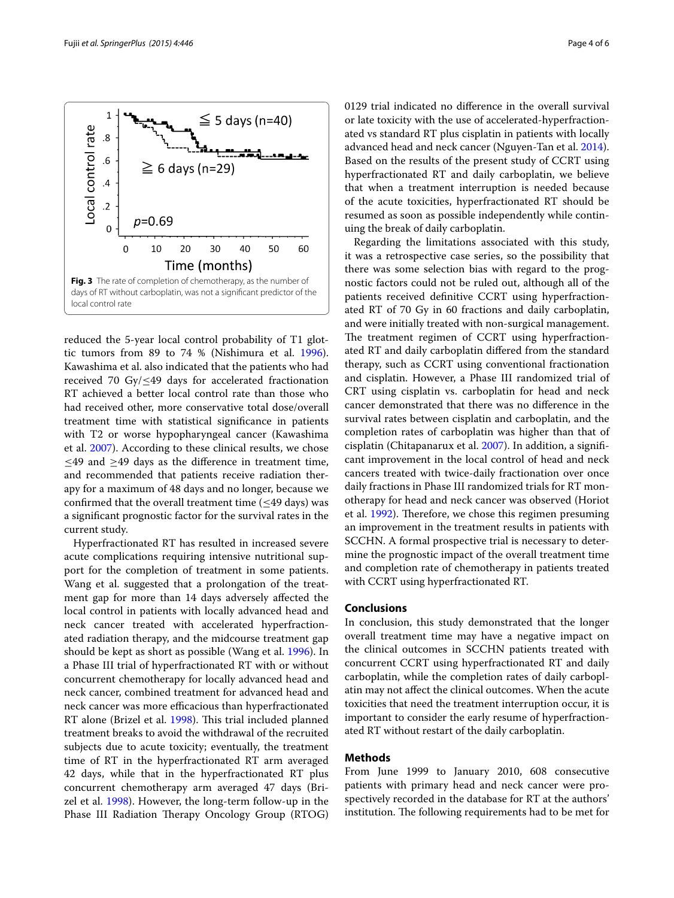

<span id="page-3-0"></span>reduced the 5-year local control probability of T1 glot-tic tumors from 89 to 74 % (Nishimura et al. [1996](#page-5-15)). Kawashima et al. also indicated that the patients who had received 70 Gy/≤49 days for accelerated fractionation RT achieved a better local control rate than those who had received other, more conservative total dose/overall treatment time with statistical significance in patients with T2 or worse hypopharyngeal cancer (Kawashima et al. [2007](#page-5-16)). According to these clinical results, we chose  $≤49$  and  $≥49$  days as the difference in treatment time, and recommended that patients receive radiation therapy for a maximum of 48 days and no longer, because we confirmed that the overall treatment time  $(\leq 49 \text{ days})$  was a significant prognostic factor for the survival rates in the current study.

Hyperfractionated RT has resulted in increased severe acute complications requiring intensive nutritional support for the completion of treatment in some patients. Wang et al. suggested that a prolongation of the treatment gap for more than 14 days adversely affected the local control in patients with locally advanced head and neck cancer treated with accelerated hyperfractionated radiation therapy, and the midcourse treatment gap should be kept as short as possible (Wang et al. [1996\)](#page-5-17). In a Phase III trial of hyperfractionated RT with or without concurrent chemotherapy for locally advanced head and neck cancer, combined treatment for advanced head and neck cancer was more efficacious than hyperfractionated RT alone (Brizel et al. [1998](#page-5-18)). This trial included planned treatment breaks to avoid the withdrawal of the recruited subjects due to acute toxicity; eventually, the treatment time of RT in the hyperfractionated RT arm averaged 42 days, while that in the hyperfractionated RT plus concurrent chemotherapy arm averaged 47 days (Brizel et al. [1998\)](#page-5-18). However, the long-term follow-up in the Phase III Radiation Therapy Oncology Group (RTOG) 0129 trial indicated no difference in the overall survival or late toxicity with the use of accelerated-hyperfractionated vs standard RT plus cisplatin in patients with locally advanced head and neck cancer (Nguyen-Tan et al. [2014](#page-5-19)). Based on the results of the present study of CCRT using hyperfractionated RT and daily carboplatin, we believe that when a treatment interruption is needed because of the acute toxicities, hyperfractionated RT should be resumed as soon as possible independently while continuing the break of daily carboplatin.

Regarding the limitations associated with this study, it was a retrospective case series, so the possibility that there was some selection bias with regard to the prognostic factors could not be ruled out, although all of the patients received definitive CCRT using hyperfractionated RT of 70 Gy in 60 fractions and daily carboplatin, and were initially treated with non-surgical management. The treatment regimen of CCRT using hyperfractionated RT and daily carboplatin differed from the standard therapy, such as CCRT using conventional fractionation and cisplatin. However, a Phase III randomized trial of CRT using cisplatin vs. carboplatin for head and neck cancer demonstrated that there was no difference in the survival rates between cisplatin and carboplatin, and the completion rates of carboplatin was higher than that of cisplatin (Chitapanarux et al. [2007](#page-5-7)). In addition, a significant improvement in the local control of head and neck cancers treated with twice-daily fractionation over once daily fractions in Phase III randomized trials for RT monotherapy for head and neck cancer was observed (Horiot et al. [1992](#page-5-1)). Therefore, we chose this regimen presuming an improvement in the treatment results in patients with SCCHN. A formal prospective trial is necessary to determine the prognostic impact of the overall treatment time and completion rate of chemotherapy in patients treated with CCRT using hyperfractionated RT.

## **Conclusions**

In conclusion, this study demonstrated that the longer overall treatment time may have a negative impact on the clinical outcomes in SCCHN patients treated with concurrent CCRT using hyperfractionated RT and daily carboplatin, while the completion rates of daily carboplatin may not affect the clinical outcomes. When the acute toxicities that need the treatment interruption occur, it is important to consider the early resume of hyperfractionated RT without restart of the daily carboplatin.

## **Methods**

From June 1999 to January 2010, 608 consecutive patients with primary head and neck cancer were prospectively recorded in the database for RT at the authors' institution. The following requirements had to be met for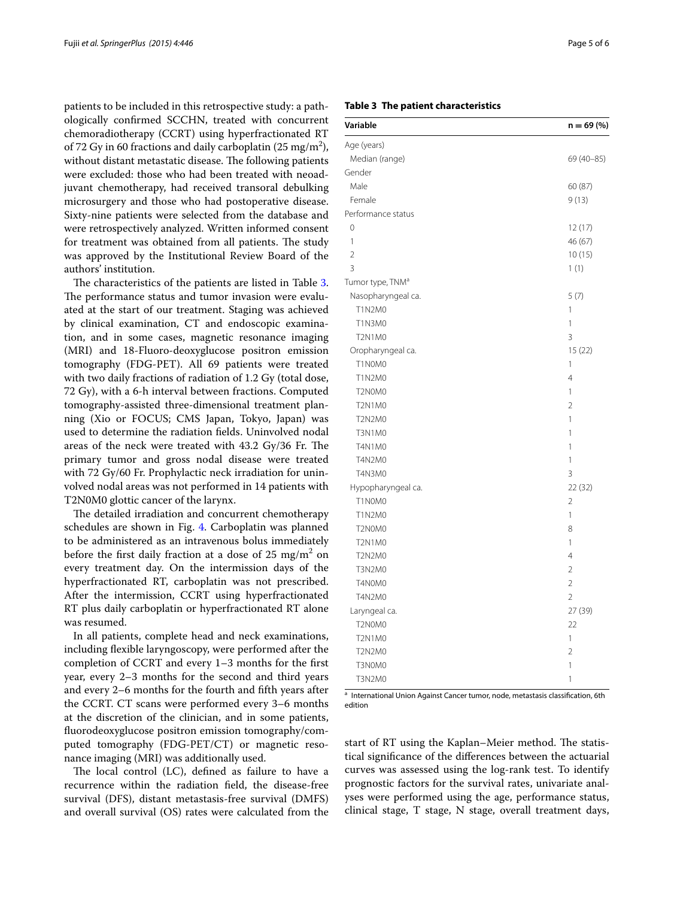patients to be included in this retrospective study: a pathologically confirmed SCCHN, treated with concurrent chemoradiotherapy (CCRT) using hyperfractionated RT of 72 Gy in 60 fractions and daily carboplatin (25 mg/m<sup>2</sup>), without distant metastatic disease. The following patients were excluded: those who had been treated with neoadjuvant chemotherapy, had received transoral debulking microsurgery and those who had postoperative disease. Sixty-nine patients were selected from the database and were retrospectively analyzed. Written informed consent for treatment was obtained from all patients. The study was approved by the Institutional Review Board of the authors' institution.

The characteristics of the patients are listed in Table [3](#page-4-0). The performance status and tumor invasion were evaluated at the start of our treatment. Staging was achieved by clinical examination, CT and endoscopic examination, and in some cases, magnetic resonance imaging (MRI) and 18-Fluoro-deoxyglucose positron emission tomography (FDG-PET). All 69 patients were treated with two daily fractions of radiation of 1.2 Gy (total dose, 72 Gy), with a 6-h interval between fractions. Computed tomography-assisted three-dimensional treatment planning (Xio or FOCUS; CMS Japan, Tokyo, Japan) was used to determine the radiation fields. Uninvolved nodal areas of the neck were treated with 43.2 Gy/36 Fr. The primary tumor and gross nodal disease were treated with 72 Gy/60 Fr. Prophylactic neck irradiation for uninvolved nodal areas was not performed in 14 patients with T2N0M0 glottic cancer of the larynx.

The detailed irradiation and concurrent chemotherapy schedules are shown in Fig. [4.](#page-5-20) Carboplatin was planned to be administered as an intravenous bolus immediately before the first daily fraction at a dose of 25  $\text{mg/m}^2$  on every treatment day. On the intermission days of the hyperfractionated RT, carboplatin was not prescribed. After the intermission, CCRT using hyperfractionated RT plus daily carboplatin or hyperfractionated RT alone was resumed.

In all patients, complete head and neck examinations, including flexible laryngoscopy, were performed after the completion of CCRT and every 1–3 months for the first year, every 2–3 months for the second and third years and every 2–6 months for the fourth and fifth years after the CCRT. CT scans were performed every 3–6 months at the discretion of the clinician, and in some patients, fluorodeoxyglucose positron emission tomography/computed tomography (FDG-PET/CT) or magnetic resonance imaging (MRI) was additionally used.

The local control (LC), defined as failure to have a recurrence within the radiation field, the disease-free survival (DFS), distant metastasis-free survival (DMFS) and overall survival (OS) rates were calculated from the

## <span id="page-4-0"></span>**Table 3 The patient characteristics**

| Variable                     | $n = 69 (%)$             |  |  |  |
|------------------------------|--------------------------|--|--|--|
| Age (years)                  |                          |  |  |  |
| Median (range)               | 69 (40-85)               |  |  |  |
| Gender                       |                          |  |  |  |
| Male                         | 60 (87)                  |  |  |  |
| Female                       | 9(13)                    |  |  |  |
| Performance status           |                          |  |  |  |
| $\mathbf 0$                  | 12 (17)                  |  |  |  |
| 1                            | 46 (67)                  |  |  |  |
| $\overline{2}$               | 10(15)                   |  |  |  |
| $\overline{3}$               | 1(1)                     |  |  |  |
| Tumor type, TNM <sup>a</sup> |                          |  |  |  |
| Nasopharyngeal ca.           | 5(7)                     |  |  |  |
| T1N2M0                       | 1                        |  |  |  |
| T1N3M0                       | 1                        |  |  |  |
| T2N1M0                       | 3                        |  |  |  |
| Oropharyngeal ca.            | 15 (22)                  |  |  |  |
| T1N0M0                       | 1                        |  |  |  |
| T1N2M0                       | $\overline{4}$           |  |  |  |
| T2N0M0                       | $\mathbf{1}$             |  |  |  |
| <b>T2N1M0</b>                | $\overline{2}$           |  |  |  |
| T2N2M0                       | 1                        |  |  |  |
| T3N1M0                       | 1                        |  |  |  |
| T4N1M0                       | 1                        |  |  |  |
| T4N2M0                       | 1                        |  |  |  |
| T4N3M0                       | 3                        |  |  |  |
| Hypopharyngeal ca.           | 22 (32)                  |  |  |  |
| T1N0M0                       | $\overline{2}$           |  |  |  |
| T1N2M0                       | 1                        |  |  |  |
| T2N0M0                       | 8                        |  |  |  |
| T2N1M0                       | 1                        |  |  |  |
| T2N2M0                       | $\overline{4}$           |  |  |  |
| <b>T3N2M0</b>                | $\overline{\phantom{a}}$ |  |  |  |
| T4N0M0                       | $\overline{2}$           |  |  |  |
| T4N2M0                       | $\overline{2}$           |  |  |  |
| Laryngeal ca.                | 27 (39)                  |  |  |  |
| T2N0M0                       | 22                       |  |  |  |
| T2N1M0                       | 1                        |  |  |  |
| T2N2M0                       | $\overline{2}$           |  |  |  |
| T3N0M0                       | 1                        |  |  |  |
| <b>T3N2M0</b>                | 1                        |  |  |  |

<sup>a</sup> International Union Against Cancer tumor, node, metastasis classification, 6th edition

start of RT using the Kaplan–Meier method. The statistical significance of the differences between the actuarial curves was assessed using the log-rank test. To identify prognostic factors for the survival rates, univariate analyses were performed using the age, performance status, clinical stage, T stage, N stage, overall treatment days,